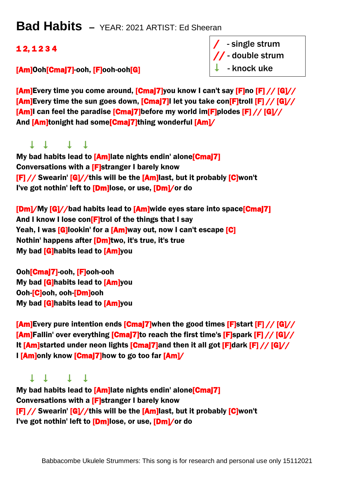## **Bad Habits –** YEAR: 2021 ARTIST: Ed Sheeran

### 1 2, 1 2 3 4

#### [Am]Ooh[Cmaj7]-ooh, [F]ooh-ooh[G]

/ - single strum // - double strum  $\downarrow$  - knock uke

[Am]Every time you come around, [Cmaj7]you know I can't say [F]no [F] // [G]// [Am]Every time the sun goes down, [Cmaj7]I let you take con[F]troll [F] // [G]// [Am]I can feel the paradise [Cmaj7]before my world im[F]plodes [F] // [G]// And **[Am]tonight had some**[**Cmaj7]thing wonderful [Am]/** 

## $1111$

My bad habits lead to [Am]late nights endin' alone<sup>[Cma]7]</sup> Conversations with a [F]stranger I barely know [F] // Swearin' [G]//this will be the [Am]last, but it probably [C]won't I've got nothin' left to [Dm]lose, or use, [Dm]/or do

[Dm]/My [G]//bad habits lead to [Am]wide eyes stare into space[Cmaj7] And I know I lose con[F]trol of the things that I say Yeah, I was **[G]**lookin' for a **[Am]**way out, now I can't escape **[C]** Nothin' happens after **[Dm]**two, it's true, it's true My bad [G]habits lead to [Am]you

Ooh[Cmaj7]-ooh, [F]ooh-ooh My bad [G]habits lead to [Am]you Ooh-[C]ooh, ooh-[Dm]ooh My bad [G]habits lead to [Am]you

 $\frac{[Am]E}v$ ery pure intention ends  $\frac{[Cma]}{7}$  when the good times  $\frac{[F]}{F}$ start  $\frac{[F]}{7}$   $\frac{[G]}{7}$  $\lceil \mathbf{Am} \rceil$ Fallin' over everything  $\lceil \mathbf{Cma} \rceil$  to reach the first time's  $\lceil \mathbf{F} \rceil$ spark  $\lceil \mathbf{F} \rceil$  //  $\lceil \mathbf{G} \rceil$ // It  $[Am]$ started under neon lights  $[Cmaj7]$ and then it all got  $[F]$ dark  $[F]/[G]//[G]$ I [Am]only know [Cmaj7]how to go too far [Am]/

#### $1111$

My bad habits lead to [Am]late nights endin' alone<sup>[Cmaj7]</sup> Conversations with a [F]stranger I barely know [F] // Swearin' [G]//this will be the [Am]last, but it probably [C]won't I've got nothin' left to [Dm]lose, or use, [Dm]/or do